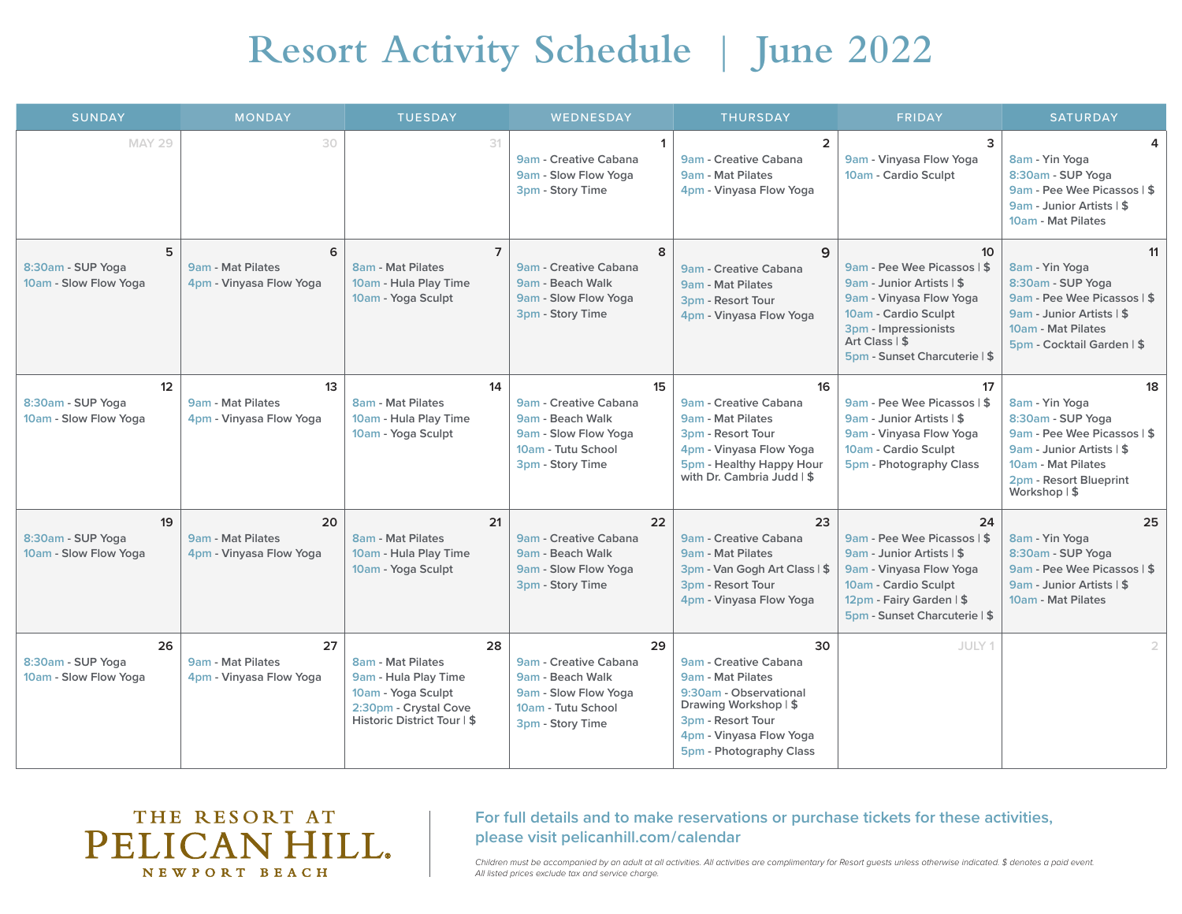## **Resort Activity Schedule** | **June 2022**

| <b>SUNDAY</b>                                    | <b>MONDAY</b>                                      | <b>TUESDAY</b>                                                                                                                       | WEDNESDAY                                                                                                         | <b>THURSDAY</b>                                                                                                                                                                | <b>FRIDAY</b>                                                                                                                                                                                                    | <b>SATURDAY</b>                                                                                                                                                        |
|--------------------------------------------------|----------------------------------------------------|--------------------------------------------------------------------------------------------------------------------------------------|-------------------------------------------------------------------------------------------------------------------|--------------------------------------------------------------------------------------------------------------------------------------------------------------------------------|------------------------------------------------------------------------------------------------------------------------------------------------------------------------------------------------------------------|------------------------------------------------------------------------------------------------------------------------------------------------------------------------|
| <b>MAY 29</b>                                    | 30                                                 | 31                                                                                                                                   | $\mathbf{1}$<br>9am - Creative Cabana<br>9am - Slow Flow Yoga<br>3pm - Story Time                                 | $\overline{2}$<br>9am - Creative Cabana<br>9am - Mat Pilates<br>4pm - Vinyasa Flow Yoga                                                                                        | 3<br>9am - Vinyasa Flow Yoga<br>10am - Cardio Sculpt                                                                                                                                                             | Δ<br>8am - Yin Yoga<br>8:30am - SUP Yoga<br>9am - Pee Wee Picassos   \$<br>9am - Junior Artists   \$<br>10am - Mat Pilates                                             |
| 5<br>8:30am - SUP Yoga<br>10am - Slow Flow Yoga  | 6<br>9am - Mat Pilates<br>4pm - Vinyasa Flow Yoga  | $\overline{7}$<br>8am - Mat Pilates<br>10am - Hula Play Time<br>10am - Yoga Sculpt                                                   | 8<br>9am - Creative Cabana<br>9am - Beach Walk<br>9am - Slow Flow Yoga<br>3pm - Story Time                        | 9<br>9am - Creative Cabana<br>9am - Mat Pilates<br>3pm - Resort Tour<br>4pm - Vinyasa Flow Yoga                                                                                | 10 <sup>10</sup><br>9am - Pee Wee Picassos   \$<br>9am - Junior Artists   \$<br>9am - Vinyasa Flow Yoga<br>10am - Cardio Sculpt<br>3pm - Impressionists<br>Art Class $\vert$ \$<br>5pm - Sunset Charcuterie   \$ | 11<br>8am - Yin Yoga<br>8:30am - SUP Yoga<br>9am - Pee Wee Picassos   \$<br>9am - Junior Artists   \$<br>10am - Mat Pilates<br>5pm - Cocktail Garden   \$              |
| 12<br>8:30am - SUP Yoga<br>10am - Slow Flow Yoga | 13<br>9am - Mat Pilates<br>4pm - Vinyasa Flow Yoga | 14<br><b>8am - Mat Pilates</b><br>10am - Hula Play Time<br>10am - Yoga Sculpt                                                        | 15<br>9am - Creative Cabana<br>9am - Beach Walk<br>9am - Slow Flow Yoga<br>10am - Tutu School<br>3pm - Story Time | 16<br>9am - Creative Cabana<br>9am - Mat Pilates<br>3pm - Resort Tour<br>4pm - Vinyasa Flow Yoga<br>5pm - Healthy Happy Hour<br>with Dr. Cambria Judd   \$                     | 17<br>9am - Pee Wee Picassos   \$<br>9am - Junior Artists   \$<br>9am - Vinyasa Flow Yoga<br>10am - Cardio Sculpt<br>5pm - Photography Class                                                                     | 18<br>8am - Yin Yoga<br>8:30am - SUP Yoga<br>9am - Pee Wee Picassos   \$<br>9am - Junior Artists   \$<br>10am - Mat Pilates<br>2pm - Resort Blueprint<br>Workshop   \$ |
| 19<br>8:30am - SUP Yoga<br>10am - Slow Flow Yoga | 20<br>9am - Mat Pilates<br>4pm - Vinyasa Flow Yoga | 21<br><b>8am - Mat Pilates</b><br>10am - Hula Play Time<br>10am - Yoga Sculpt                                                        | 22<br>9am - Creative Cabana<br>9am - Beach Walk<br>9am - Slow Flow Yoga<br>3pm - Story Time                       | 23<br>9am - Creative Cabana<br>9am - Mat Pilates<br>3pm - Van Gogh Art Class   \$<br>3pm - Resort Tour<br>4pm - Vinyasa Flow Yoga                                              | 24<br>9am - Pee Wee Picassos   \$<br>9am - Junior Artists   \$<br>9am - Vinyasa Flow Yoga<br>10am - Cardio Sculpt<br>12pm - Fairy Garden   \$<br>5pm - Sunset Charcuterie   \$                                   | 25<br>8am - Yin Yoga<br>8:30am - SUP Yoga<br>9am - Pee Wee Picassos   \$<br>9am - Junior Artists   \$<br>10am - Mat Pilates                                            |
| 26<br>8:30am - SUP Yoga<br>10am - Slow Flow Yoga | 27<br>9am - Mat Pilates<br>4pm - Vinyasa Flow Yoga | 28<br><b>8am - Mat Pilates</b><br>9am - Hula Play Time<br>10am - Yoga Sculpt<br>2:30pm - Crystal Cove<br>Historic District Tour   \$ | 29<br>9am - Creative Cabana<br>9am - Beach Walk<br>9am - Slow Flow Yoga<br>10am - Tutu School<br>3pm - Story Time | 30<br>9am - Creative Cabana<br>9am - Mat Pilates<br>9:30am - Observational<br>Drawing Workshop   \$<br>3pm - Resort Tour<br>4pm - Vinyasa Flow Yoga<br>5pm - Photography Class | JULY 1                                                                                                                                                                                                           |                                                                                                                                                                        |

## THE RESORT AT PELICAN HILL. NEWPORT BEACH

## **For full details and to make reservations or purchase tickets for these activities, please visit pelicanhill.com / calendar**

*Children must be accompanied by an adult at all activities. All activities are complimentary for Resort guests unless otherwise indicated. \$ denotes a paid event. All listed prices exclude tax and service charge.*